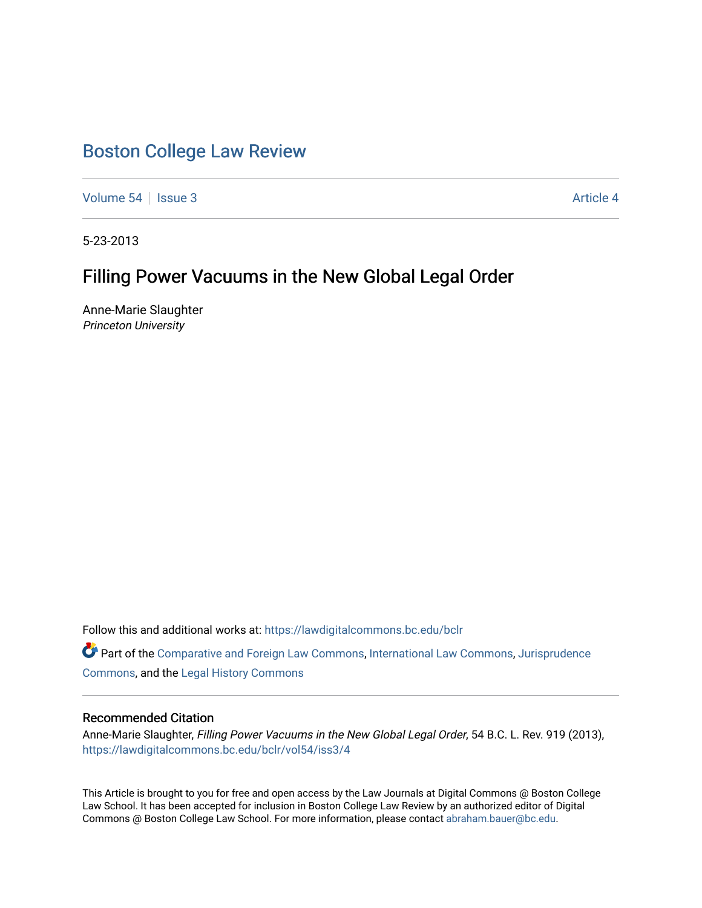# [Boston College Law Review](https://lawdigitalcommons.bc.edu/bclr)

[Volume 54](https://lawdigitalcommons.bc.edu/bclr/vol54) Session 3 [Article 4](https://lawdigitalcommons.bc.edu/bclr/vol54/iss3/4) Article 4

5-23-2013

## Filling Power Vacuums in the New Global Legal Order

Anne-Marie Slaughter Princeton University

Follow this and additional works at: [https://lawdigitalcommons.bc.edu/bclr](https://lawdigitalcommons.bc.edu/bclr?utm_source=lawdigitalcommons.bc.edu%2Fbclr%2Fvol54%2Fiss3%2F4&utm_medium=PDF&utm_campaign=PDFCoverPages) 

Part of the [Comparative and Foreign Law Commons,](http://network.bepress.com/hgg/discipline/836?utm_source=lawdigitalcommons.bc.edu%2Fbclr%2Fvol54%2Fiss3%2F4&utm_medium=PDF&utm_campaign=PDFCoverPages) [International Law Commons,](http://network.bepress.com/hgg/discipline/609?utm_source=lawdigitalcommons.bc.edu%2Fbclr%2Fvol54%2Fiss3%2F4&utm_medium=PDF&utm_campaign=PDFCoverPages) [Jurisprudence](http://network.bepress.com/hgg/discipline/610?utm_source=lawdigitalcommons.bc.edu%2Fbclr%2Fvol54%2Fiss3%2F4&utm_medium=PDF&utm_campaign=PDFCoverPages)  [Commons](http://network.bepress.com/hgg/discipline/610?utm_source=lawdigitalcommons.bc.edu%2Fbclr%2Fvol54%2Fiss3%2F4&utm_medium=PDF&utm_campaign=PDFCoverPages), and the [Legal History Commons](http://network.bepress.com/hgg/discipline/904?utm_source=lawdigitalcommons.bc.edu%2Fbclr%2Fvol54%2Fiss3%2F4&utm_medium=PDF&utm_campaign=PDFCoverPages)

## Recommended Citation

Anne-Marie Slaughter, Filling Power Vacuums in the New Global Legal Order, 54 B.C. L. Rev. 919 (2013), [https://lawdigitalcommons.bc.edu/bclr/vol54/iss3/4](https://lawdigitalcommons.bc.edu/bclr/vol54/iss3/4?utm_source=lawdigitalcommons.bc.edu%2Fbclr%2Fvol54%2Fiss3%2F4&utm_medium=PDF&utm_campaign=PDFCoverPages) 

This Article is brought to you for free and open access by the Law Journals at Digital Commons @ Boston College Law School. It has been accepted for inclusion in Boston College Law Review by an authorized editor of Digital Commons @ Boston College Law School. For more information, please contact [abraham.bauer@bc.edu.](mailto:abraham.bauer@bc.edu)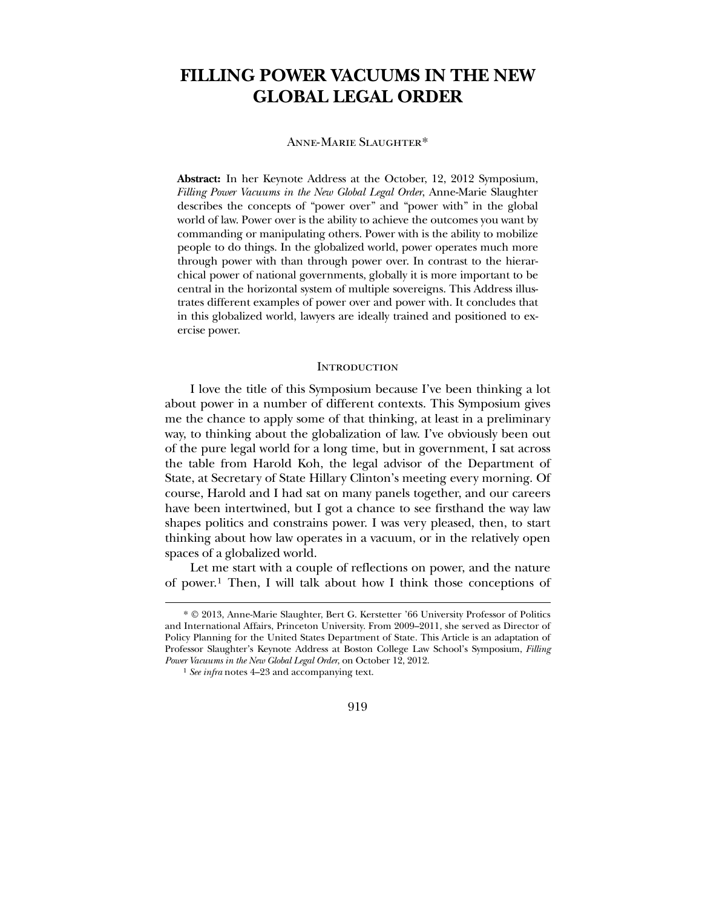## **FILLING POWER VACUUMS IN THE NEW GLOBAL LEGAL ORDER**

#### Anne-Marie Slaughter[\\*](#page-1-0)

**Abstract:** In her Keynote Address at the October, 12, 2012 Symposium, *Filling Power Vacuums in the New Global Legal Order*, Anne-Marie Slaughter describes the concepts of "power over" and "power with" in the global world of law. Power over is the ability to achieve the outcomes you want by commanding or manipulating others. Power with is the ability to mobilize people to do things. In the globalized world, power operates much more through power with than through power over. In contrast to the hierarchical power of national governments, globally it is more important to be central in the horizontal system of multiple sovereigns. This Address illustrates different examples of power over and power with. It concludes that in this globalized world, lawyers are ideally trained and positioned to exercise power.

#### **INTRODUCTION**

 I love the title of this Symposium because I've been thinking a lot about power in a number of different contexts. This Symposium gives me the chance to apply some of that thinking, at least in a preliminary way, to thinking about the globalization of law. I've obviously been out of the pure legal world for a long time, but in government, I sat across the table from Harold Koh, the legal advisor of the Department of State, at Secretary of State Hillary Clinton's meeting every morning. Of course, Harold and I had sat on many panels together, and our careers have been intertwined, but I got a chance to see firsthand the way law shapes politics and constrains power. I was very pleased, then, to start thinking about how law operates in a vacuum, or in the relatively open spaces of a globalized world.

 Let me start with a couple of reflections on power, and the nature of power.[1](#page-1-1) Then, I will talk about how I think those conceptions of

 $\overline{a}$ 

### 919

<sup>\*</sup> © 2013, Anne-Marie Slaughter, Bert G. Kerstetter '66 University Professor of Politics and International Affairs, Princeton University. From 2009–2011, she served as Director of Policy Planning for the United States Department of State. This Article is an adaptation of Professor Slaughter's Keynote Address at Boston College Law School's Symposium, *Filling Power Vacuums in the New Global Legal Order*, on October 12, 2012.

<span id="page-1-1"></span><span id="page-1-0"></span><sup>1</sup> *See infra* notes 4–23 and accompanying text.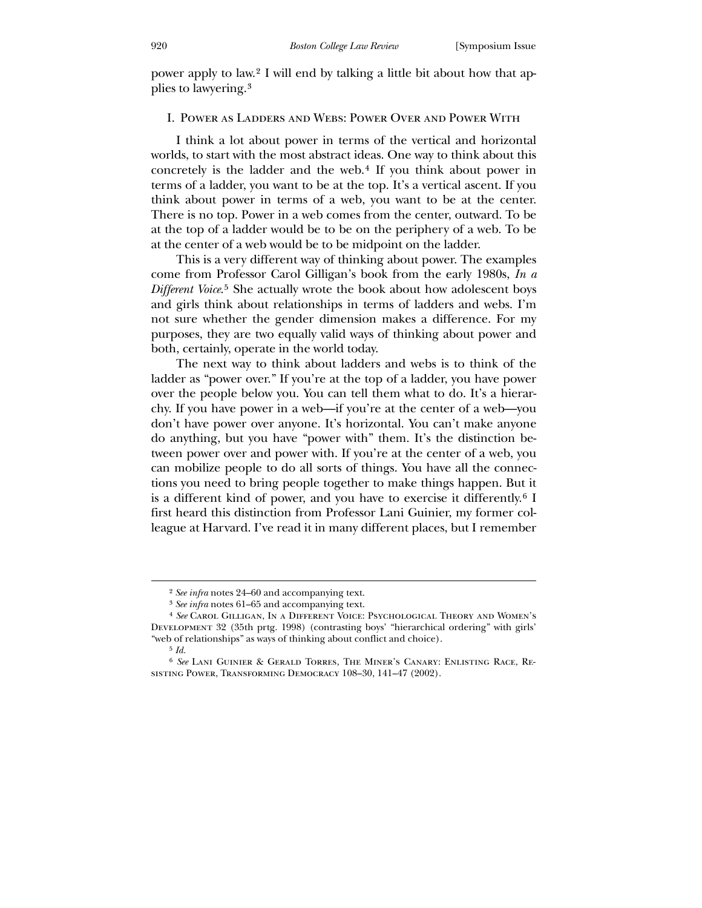power apply to law.[2](#page-2-0) I will end by talking a little bit about how that applies to lawyering.[3](#page-2-1)

#### I. Power as Ladders and Webs: Power Over and Power With

 I think a lot about power in terms of the vertical and horizontal worlds, to start with the most abstract ideas. One way to think about this concretely is the ladder and the web.[4](#page-2-2) If you think about power in terms of a ladder, you want to be at the top. It's a vertical ascent. If you think about power in terms of a web, you want to be at the center. There is no top. Power in a web comes from the center, outward. To be at the top of a ladder would be to be on the periphery of a web. To be at the center of a web would be to be midpoint on the ladder.

 This is a very different way of thinking about power. The examples come from Professor Carol Gilligan's book from the early 1980s, *In a Different Voice*.[5](#page-2-3) She actually wrote the book about how adolescent boys and girls think about relationships in terms of ladders and webs. I'm not sure whether the gender dimension makes a difference. For my purposes, they are two equally valid ways of thinking about power and both, certainly, operate in the world today.

 The next way to think about ladders and webs is to think of the ladder as "power over." If you're at the top of a ladder, you have power over the people below you. You can tell them what to do. It's a hierarchy. If you have power in a web—if you're at the center of a web—you don't have power over anyone. It's horizontal. You can't make anyone do anything, but you have "power with" them. It's the distinction between power over and power with. If you're at the center of a web, you can mobilize people to do all sorts of things. You have all the connections you need to bring people together to make things happen. But it is a different kind of power, and you have to exercise it differently.[6](#page-2-4) I first heard this distinction from Professor Lani Guinier, my former colleague at Harvard. I've read it in many different places, but I remember

<sup>2</sup> *See infra* notes 24–60 and accompanying text.

<sup>3</sup> *See infra* notes 61–65 and accompanying text.

<sup>4</sup> *See* Carol Gilligan, In a Different Voice: Psychological Theory and Women's Development 32 (35th prtg. 1998) (contrasting boys' "hierarchical ordering" with girls' "web of relationships" as ways of thinking about conflict and choice).

<sup>5</sup> *Id.*

<span id="page-2-4"></span><span id="page-2-3"></span><span id="page-2-2"></span><span id="page-2-1"></span><span id="page-2-0"></span><sup>6</sup> *See* Lani Guinier & Gerald Torres, The Miner's Canary: Enlisting Race, Resisting Power, Transforming Democracy 108–30, 141–47 (2002).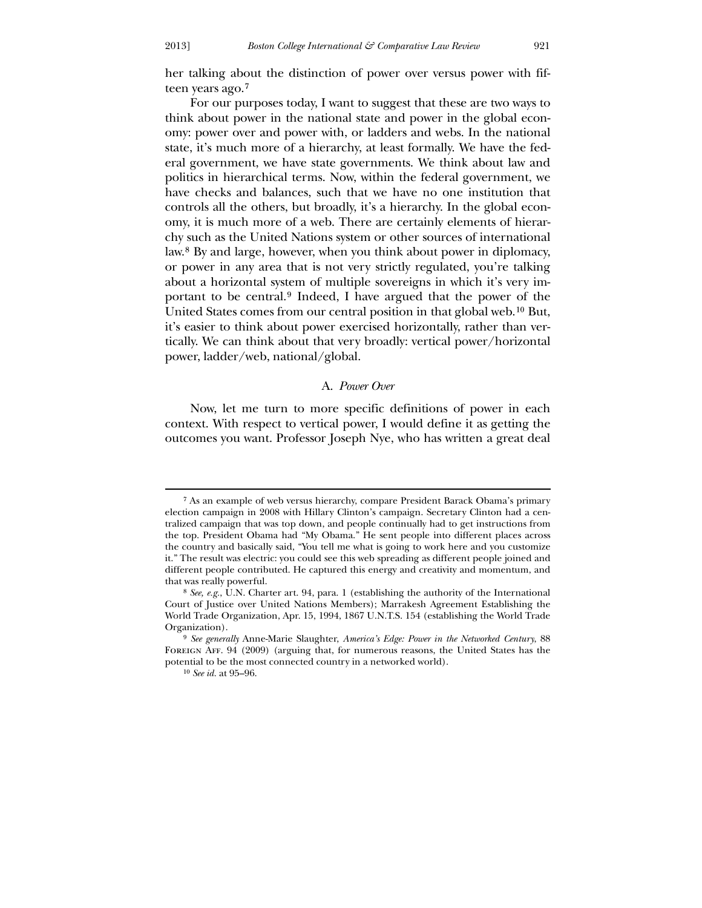her talking about the distinction of power over versus power with fifteen years ago.[7](#page-3-0)

 For our purposes today, I want to suggest that these are two ways to think about power in the national state and power in the global economy: power over and power with, or ladders and webs. In the national state, it's much more of a hierarchy, at least formally. We have the federal government, we have state governments. We think about law and politics in hierarchical terms. Now, within the federal government, we have checks and balances, such that we have no one institution that controls all the others, but broadly, it's a hierarchy. In the global economy, it is much more of a web. There are certainly elements of hierarchy such as the United Nations system or other sources of international law.[8](#page-3-1) By and large, however, when you think about power in diplomacy, or power in any area that is not very strictly regulated, you're talking about a horizontal system of multiple sovereigns in which it's very important to be central.[9](#page-3-2) Indeed, I have argued that the power of the United States comes from our central position in that global web.[10](#page-3-3) But, it's easier to think about power exercised horizontally, rather than vertically. We can think about that very broadly: vertical power/horizontal power, ladder/web, national/global.

#### A. *Power Over*

Now, let me turn to more specific definitions of power in each context. With respect to vertical power, I would define it as getting the outcomes you want. Professor Joseph Nye, who has written a great deal

-

<sup>7</sup> As an example of web versus hierarchy, compare President Barack Obama's primary election campaign in 2008 with Hillary Clinton's campaign. Secretary Clinton had a centralized campaign that was top down, and people continually had to get instructions from the top. President Obama had "My Obama." He sent people into different places across the country and basically said, "You tell me what is going to work here and you customize it." The result was electric: you could see this web spreading as different people joined and different people contributed. He captured this energy and creativity and momentum, and that was really powerful.

<sup>8</sup> *See, e.g.*, U.N. Charter art. 94, para. 1 (establishing the authority of the International Court of Justice over United Nations Members); Marrakesh Agreement Establishing the World Trade Organization, Apr. 15, 1994, 1867 U.N.T.S. 154 (establishing the World Trade Organization).

<span id="page-3-0"></span><sup>9</sup> *See generally* Anne-Marie Slaughter, *America's Edge: Power in the Networked Century*, 88 FOREIGN AFF. 94 (2009) (arguing that, for numerous reasons, the United States has the potential to be the most connected country in a networked world).

<span id="page-3-3"></span><span id="page-3-2"></span><span id="page-3-1"></span><sup>10</sup> *See id.* at 95–96.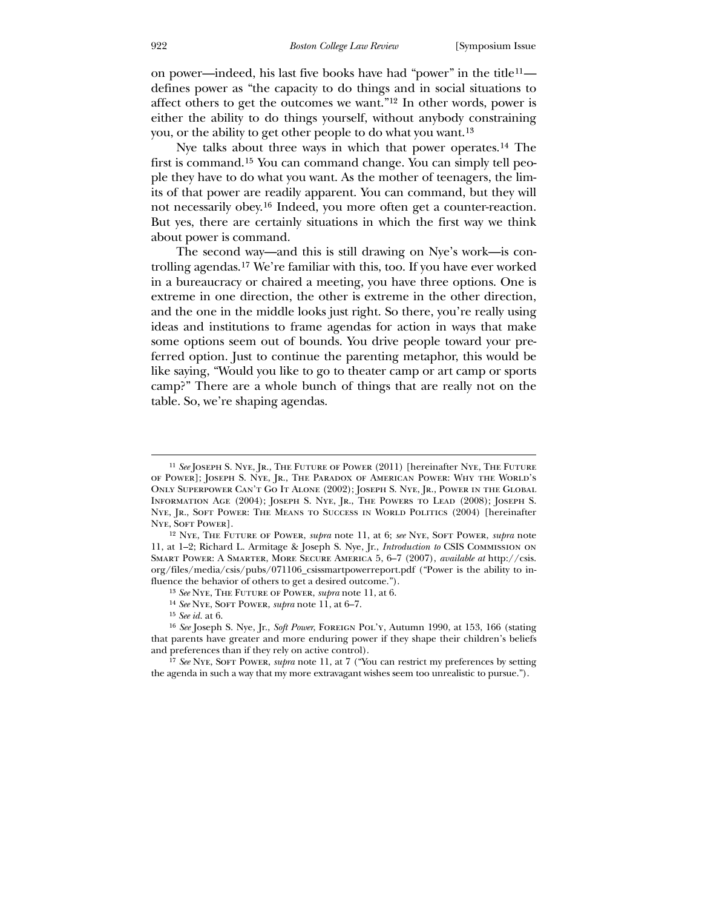on power—indeed, his last five books have had "power" in the title[11](#page-4-0) defines power as "the capacity to do things and in social situations to affect others to get the outcomes we want."[12](#page-4-1) In other words, power is either the ability to do things yourself, without anybody constraining you, or the ability to get other people to do what you want.[13](#page-4-2)

 Nye talks about three ways in which that power operates.[14](#page-4-3) The first is command.[15](#page-4-4) You can command change. You can simply tell people they have to do what you want. As the mother of teenagers, the limits of that power are readily apparent. You can command, but they will not necessarily obey.[16](#page-4-5) Indeed, you more often get a counter-reaction. But yes, there are certainly situations in which the first way we think about power is command.

 The second way—and this is still drawing on Nye's work—is controlling agendas.[17](#page-4-6) We're familiar with this, too. If you have ever worked in a bureaucracy or chaired a meeting, you have three options. One is extreme in one direction, the other is extreme in the other direction, and the one in the middle looks just right. So there, you're really using ideas and institutions to frame agendas for action in ways that make some options seem out of bounds. You drive people toward your preferred option. Just to continue the parenting metaphor, this would be like saying, "Would you like to go to theater camp or art camp or sports camp?" There are a whole bunch of things that are really not on the table. So, we're shaping agendas.

<sup>&</sup>lt;sup>11</sup> See JOSEPH S. NYE, JR., THE FUTURE OF POWER (2011) [hereinafter NYE, THE FUTURE of Power]; Joseph S. Nye, Jr., The Paradox of American Power: Why the World's Only Superpower Can't Go It Alone (2002); Joseph S. Nye, Jr., Power in the Global INFORMATION AGE (2004); JOSEPH S. NYE, JR., THE POWERS TO LEAD (2008); JOSEPH S. NYE, JR., SOFT POWER: THE MEANS TO SUCCESS IN WORLD POLITICS (2004) [hereinafter NYE, SOFT POWER].

<sup>12</sup> Nye, The Future of Power, *supra* note 11, at 6; *see* Nye, Soft Power, *supra* note 11, at 1–2; Richard L. Armitage & Joseph S. Nye, Jr., *Introduction to* CSIS Commission on Smart Power: A Smarter, More Secure America 5, 6–7 (2007), *available at* http://csis. org/files/media/csis/pubs/071106\_csissmartpowerreport.pdf ("Power is the ability to influence the behavior of others to get a desired outcome.").

<sup>13</sup> *See* Nye, The Future of Power, *supra* note 11, at 6.

<sup>14</sup> *See* Nye, Soft Power, *supra* note 11, at 6–7.

<sup>15</sup> *See id.* at 6.

<span id="page-4-0"></span><sup>&</sup>lt;sup>16</sup> *See* Joseph S. Nye, Jr., *Soft Power*, FOREIGN POL'Y, Autumn 1990, at 153, 166 (stating that parents have greater and more enduring power if they shape their children's beliefs and preferences than if they rely on active control).

<span id="page-4-6"></span><span id="page-4-5"></span><span id="page-4-4"></span><span id="page-4-3"></span><span id="page-4-2"></span><span id="page-4-1"></span><sup>17</sup> *See* Nye, Soft Power, *supra* note 11, at 7 ("You can restrict my preferences by setting the agenda in such a way that my more extravagant wishes seem too unrealistic to pursue.").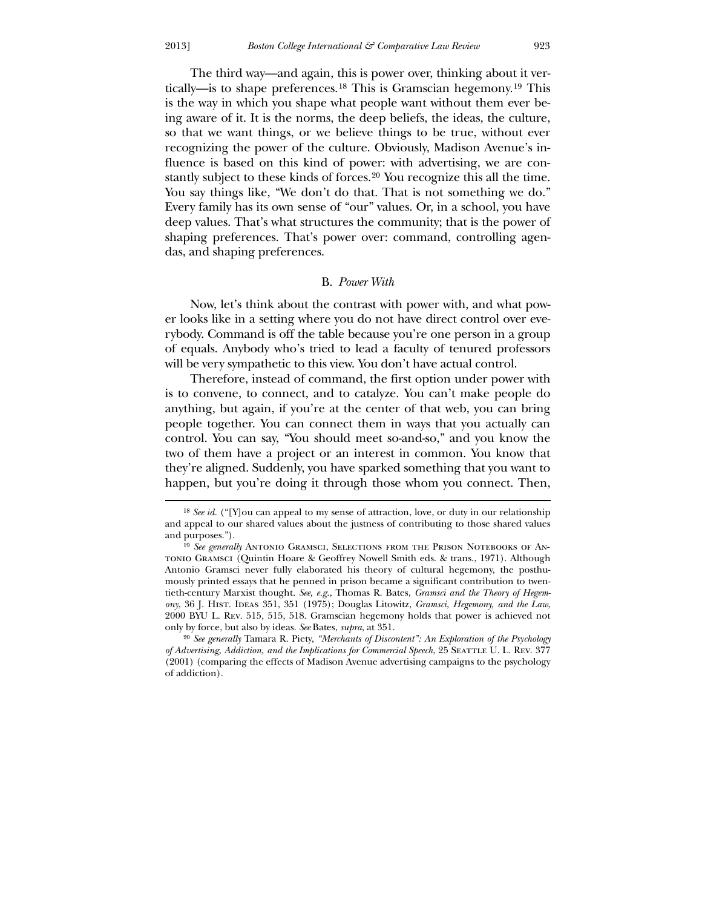$\overline{a}$ 

 The third way—and again, this is power over, thinking about it vertically—is to shape preferences.[18](#page-5-0) This is Gramscian hegemony.[19](#page-5-1) This is the way in which you shape what people want without them ever being aware of it. It is the norms, the deep beliefs, the ideas, the culture, so that we want things, or we believe things to be true, without ever recognizing the power of the culture. Obviously, Madison Avenue's influence is based on this kind of power: with advertising, we are constantly subject to these kinds of forces.[20](#page-5-2) You recognize this all the time. You say things like, "We don't do that. That is not something we do." Every family has its own sense of "our" values. Or, in a school, you have deep values. That's what structures the community; that is the power of shaping preferences. That's power over: command, controlling agendas, and shaping preferences.

#### B. *Power With*

 Now, let's think about the contrast with power with, and what power looks like in a setting where you do not have direct control over everybody. Command is off the table because you're one person in a group of equals. Anybody who's tried to lead a faculty of tenured professors will be very sympathetic to this view. You don't have actual control.

 Therefore, instead of command, the first option under power with is to convene, to connect, and to catalyze. You can't make people do anything, but again, if you're at the center of that web, you can bring people together. You can connect them in ways that you actually can control. You can say, "You should meet so-and-so," and you know the two of them have a project or an interest in common. You know that they're aligned. Suddenly, you have sparked something that you want to happen, but you're doing it through those whom you connect. Then,

<sup>18</sup> *See id.* ("[Y]ou can appeal to my sense of attraction, love, or duty in our relationship and appeal to our shared values about the justness of contributing to those shared values and purposes.").

<sup>&</sup>lt;sup>19</sup> See generally ANTONIO GRAMSCI, SELECTIONS FROM THE PRISON NOTEBOOKS OF ANtonio Gramsci (Quintin Hoare & Geoffrey Nowell Smith eds. & trans., 1971). Although Antonio Gramsci never fully elaborated his theory of cultural hegemony, the posthumously printed essays that he penned in prison became a significant contribution to twentieth-century Marxist thought. *See, e.g.*, Thomas R. Bates, *Gramsci and the Theory of Hegemony*, 36 J. Hist. Ideas 351, 351 (1975); Douglas Litowitz, *Gramsci, Hegemony, and the Law*, 2000 BYU L. Rev. 515, 515, 518. Gramscian hegemony holds that power is achieved not only by force, but also by ideas. *See* Bates, *supra*, at 351.

<span id="page-5-2"></span><span id="page-5-1"></span><span id="page-5-0"></span><sup>20</sup> *See generally* Tamara R. Piety, *"Merchants of Discontent": An Exploration of the Psychology of Advertising, Addiction, and the Implications for Commercial Speech, 25 SEATTLE U. L. REV. 377* (2001) (comparing the effects of Madison Avenue advertising campaigns to the psychology of addiction).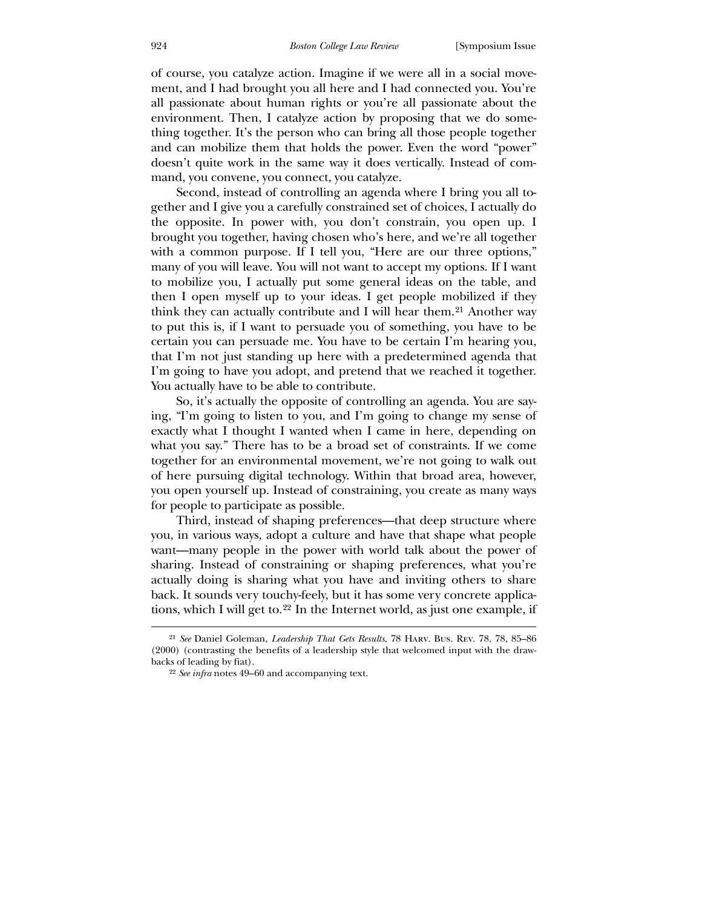of course, you catalyze action. Imagine if we were all in a social movement, and I had brought you all here and I had connected you. You're all passionate about human rights or you're all passionate about the environment. Then, I catalyze action by proposing that we do something together. It's the person who can bring all those people together and can mobilize them that holds the power. Even the word "power" doesn't quite work in the same way it does vertically. Instead of command, you convene, you connect, you catalyze.

 Second, instead of controlling an agenda where I bring you all together and I give you a carefully constrained set of choices, I actually do the opposite. In power with, you don't constrain, you open up. I brought you together, having chosen who's here, and we're all together with a common purpose. If I tell you, "Here are our three options," many of you will leave. You will not want to accept my options. If I want to mobilize you, I actually put some general ideas on the table, and then I open myself up to your ideas. I get people mobilized if they think they can actually contribute and I will hear them.<sup>[21](#page-6-0)</sup> Another way to put this is, if I want to persuade you of something, you have to be certain you can persuade me. You have to be certain I'm hearing you, that I'm not just standing up here with a predetermined agenda that I'm going to have you adopt, and pretend that we reached it together. You actually have to be able to contribute.

 So, it's actually the opposite of controlling an agenda. You are saying, "I'm going to listen to you, and I'm going to change my sense of exactly what I thought I wanted when I came in here, depending on what you say." There has to be a broad set of constraints. If we come together for an environmental movement, we're not going to walk out of here pursuing digital technology. Within that broad area, however, you open yourself up. Instead of constraining, you create as many ways for people to participate as possible.

 Third, instead of shaping preferences—that deep structure where you, in various ways, adopt a culture and have that shape what people want—many people in the power with world talk about the power of sharing. Instead of constraining or shaping preferences, what you're actually doing is sharing what you have and inviting others to share back. It sounds very touchy-feely, but it has some very concrete applications, which I will get to.[22](#page-6-1) In the Internet world, as just one example, if

<sup>21</sup> *See* Daniel Goleman, *Leadership That Gets Results*, 78 Harv. Bus. Rev. 78, 78, 85–86 (2000) (contrasting the benefits of a leadership style that welcomed input with the drawbacks of leading by fiat).

<span id="page-6-1"></span><span id="page-6-0"></span><sup>22</sup> *See infra* notes 49–60 and accompanying text.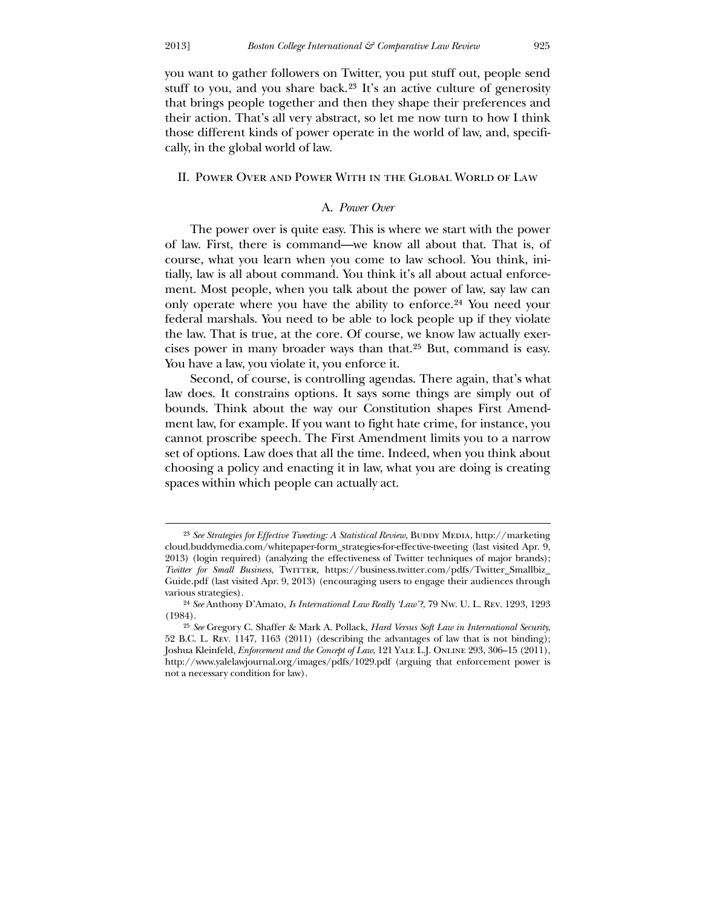-

you want to gather followers on Twitter, you put stuff out, people send stuff to you, and you share back.[23](#page-7-0) It's an active culture of generosity that brings people together and then they shape their preferences and their action. That's all very abstract, so let me now turn to how I think those different kinds of power operate in the world of law, and, specifically, in the global world of law.

#### II. Power Over and Power With in the Global World of Law

## A. *Power Over*

 The power over is quite easy. This is where we start with the power of law. First, there is command—we know all about that. That is, of course, what you learn when you come to law school. You think, initially, law is all about command. You think it's all about actual enforcement. Most people, when you talk about the power of law, say law can only operate where you have the ability to enforce.[24](#page-7-1) You need your federal marshals. You need to be able to lock people up if they violate the law. That is true, at the core. Of course, we know law actually exercises power in many broader ways than that.[25](#page-7-2) But, command is easy. You have a law, you violate it, you enforce it.

 Second, of course, is controlling agendas. There again, that's what law does. It constrains options. It says some things are simply out of bounds. Think about the way our Constitution shapes First Amendment law, for example. If you want to fight hate crime, for instance, you cannot proscribe speech. The First Amendment limits you to a narrow set of options. Law does that all the time. Indeed, when you think about choosing a policy and enacting it in law, what you are doing is creating spaces within which people can actually act.

<sup>&</sup>lt;sup>23</sup> See Strategies for Effective Tweeting: A Statistical Review, BUDDY MEDIA, http://marketing cloud.buddymedia.com/whitepaper-form\_strategies-for-effective-tweeting (last visited Apr. 9, 2013) (login required) (analyzing the effectiveness of Twitter techniques of major brands); *Twitter for Small Business*, TwiTTER, https://business.twitter.com/pdfs/Twitter\_Smallbiz\_ Guide.pdf (last visited Apr. 9, 2013) (encouraging users to engage their audiences through various strategies).

<sup>24</sup> *See* Anthony D'Amato, *Is International Law Really 'Law'?*, 79 Nw. U. L. Rev. 1293, 1293 (1984).

<span id="page-7-2"></span><span id="page-7-1"></span><span id="page-7-0"></span><sup>25</sup> *See* Gregory C. Shaffer & Mark A. Pollack, *Hard Versus Soft Law in International Security*, 52 B.C. L. Rev. 1147, 1163 (2011) (describing the advantages of law that is not binding); Joshua Kleinfeld, *Enforcement and the Concept of Law*, 121 Yale L.J. Online 293, 306–15 (2011), http://www.yalelawjournal.org/images/pdfs/1029.pdf (arguing that enforcement power is not a necessary condition for law).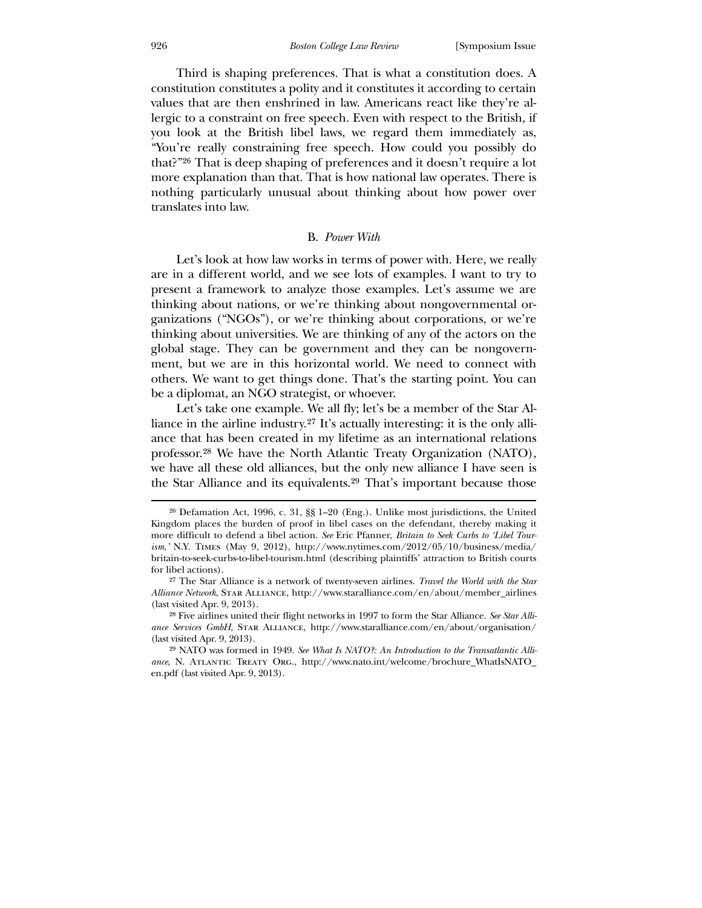Third is shaping preferences. That is what a constitution does. A constitution constitutes a polity and it constitutes it according to certain values that are then enshrined in law. Americans react like they're allergic to a constraint on free speech. Even with respect to the British, if you look at the British libel laws, we regard them immediately as, "You're really constraining free speech. How could you possibly do that?"[26](#page-8-0) That is deep shaping of preferences and it doesn't require a lot more explanation than that. That is how national law operates. There is nothing particularly unusual about thinking about how power over translates into law.

#### B. *Power With*

 Let's look at how law works in terms of power with. Here, we really are in a different world, and we see lots of examples. I want to try to present a framework to analyze those examples. Let's assume we are thinking about nations, or we're thinking about nongovernmental organizations ("NGOs"), or we're thinking about corporations, or we're thinking about universities. We are thinking of any of the actors on the global stage. They can be government and they can be nongovernment, but we are in this horizontal world. We need to connect with others. We want to get things done. That's the starting point. You can be a diplomat, an NGO strategist, or whoever.

 Let's take one example. We all fly; let's be a member of the Star Alliance in the airline industry.[27](#page-8-1) It's actually interesting: it is the only alliance that has been created in my lifetime as an international relations professor.[28](#page-8-2) We have the North Atlantic Treaty Organization (NATO), we have all these old alliances, but the only new alliance I have seen is the Star Alliance and its equivalents.[29](#page-8-3) That's important because those

<sup>26</sup> Defamation Act, 1996, c. 31, §§ 1–20 (Eng.). Unlike most jurisdictions, the United Kingdom places the burden of proof in libel cases on the defendant, thereby making it more difficult to defend a libel action. *See* Eric Pfanner, *Britain to Seek Curbs to 'Libel Tourism*,*'* N.Y. Times (May 9, 2012), http://www.nytimes.com/2012/05/10/business/media/ britain-to-seek-curbs-to-libel-tourism.html (describing plaintiffs' attraction to British courts for libel actions).

<sup>27</sup> The Star Alliance is a network of twenty-seven airlines. *Travel the World with the Star Alliance Network*, Star Alliance, http://www.staralliance.com/en/about/member\_airlines (last visited Apr. 9, 2013).

<sup>28</sup> Five airlines united their flight networks in 1997 to form the Star Alliance. *See Star Alliance Services GmbH*, Star Alliance, http://www.staralliance.com/en/about/organisation/ (last visited Apr. 9, 2013).

<span id="page-8-3"></span><span id="page-8-2"></span><span id="page-8-1"></span><span id="page-8-0"></span><sup>29</sup> NATO was formed in 1949. *See What Is NATO?: An Introduction to the Transatlantic Alliance*, N. Atlantic Treaty Org., http://www.nato.int/welcome/brochure\_WhatIsNATO\_ en.pdf (last visited Apr. 9, 2013).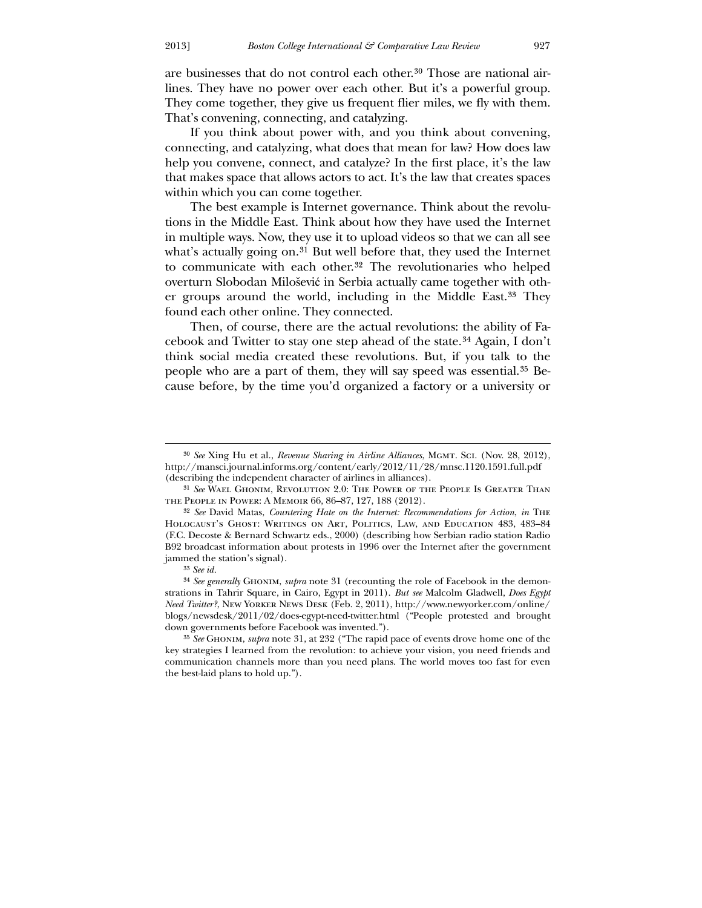are businesses that do not control each other.[30](#page-9-0) Those are national airlines. They have no power over each other. But it's a powerful group. They come together, they give us frequent flier miles, we fly with them. That's convening, connecting, and catalyzing.

 If you think about power with, and you think about convening, connecting, and catalyzing, what does that mean for law? How does law help you convene, connect, and catalyze? In the first place, it's the law that makes space that allows actors to act. It's the law that creates spaces within which you can come together.

 The best example is Internet governance. Think about the revolutions in the Middle East. Think about how they have used the Internet in multiple ways. Now, they use it to upload videos so that we can all see what's actually going on.<sup>[31](#page-9-1)</sup> But well before that, they used the Internet to communicate with each other.<sup>[32](#page-9-2)</sup> The revolutionaries who helped overturn Slobodan Milošević in Serbia actually came together with other groups around the world, including in the Middle East.[33](#page-9-3) They found each other online. They connected.

 Then, of course, there are the actual revolutions: the ability of Facebook and Twitter to stay one step ahead of the state.[34](#page-9-4) Again, I don't think social media created these revolutions. But, if you talk to the people who are a part of them, they will say speed was essential.[35](#page-9-5) Because before, by the time you'd organized a factory or a university or

<u>.</u>

<sup>&</sup>lt;sup>30</sup> See Xing Hu et al., *Revenue Sharing in Airline Alliances*, MGMT. ScI. (Nov. 28, 2012), http://mansci.journal.informs.org/content/early/2012/11/28/mnsc.1120.1591.full.pdf (describing the independent character of airlines in alliances).

<sup>31</sup> *See* Wael Ghonim, Revolution 2.0: The Power of the People Is Greater Than the People in Power: A Memoir 66, 86–87, 127, 188 (2012).

<sup>32</sup> *See* David Matas, *Countering Hate on the Internet: Recommendations for Action*, *in* The Holocaust's Ghost: Writings on Art, Politics, Law, and Education 483, 483–84 (F.C. Decoste & Bernard Schwartz eds., 2000) (describing how Serbian radio station Radio B92 broadcast information about protests in 1996 over the Internet after the government jammed the station's signal).

<sup>33</sup> *See id.*

<sup>34</sup> *See generally* Ghonim, *supra* note 31 (recounting the role of Facebook in the demonstrations in Tahrir Square, in Cairo, Egypt in 2011). *But see* Malcolm Gladwell, *Does Egypt Need Twitter?*, New Yorker News Desk (Feb. 2, 2011), http://www.newyorker.com/online/ blogs/newsdesk/2011/02/does-egypt-need-twitter.html ("People protested and brought down governments before Facebook was invented.").

<span id="page-9-5"></span><span id="page-9-4"></span><span id="page-9-3"></span><span id="page-9-2"></span><span id="page-9-1"></span><span id="page-9-0"></span><sup>35</sup> *See* Ghonim, *supra* note 31, at 232 ("The rapid pace of events drove home one of the key strategies I learned from the revolution: to achieve your vision, you need friends and communication channels more than you need plans. The world moves too fast for even the best-laid plans to hold up.").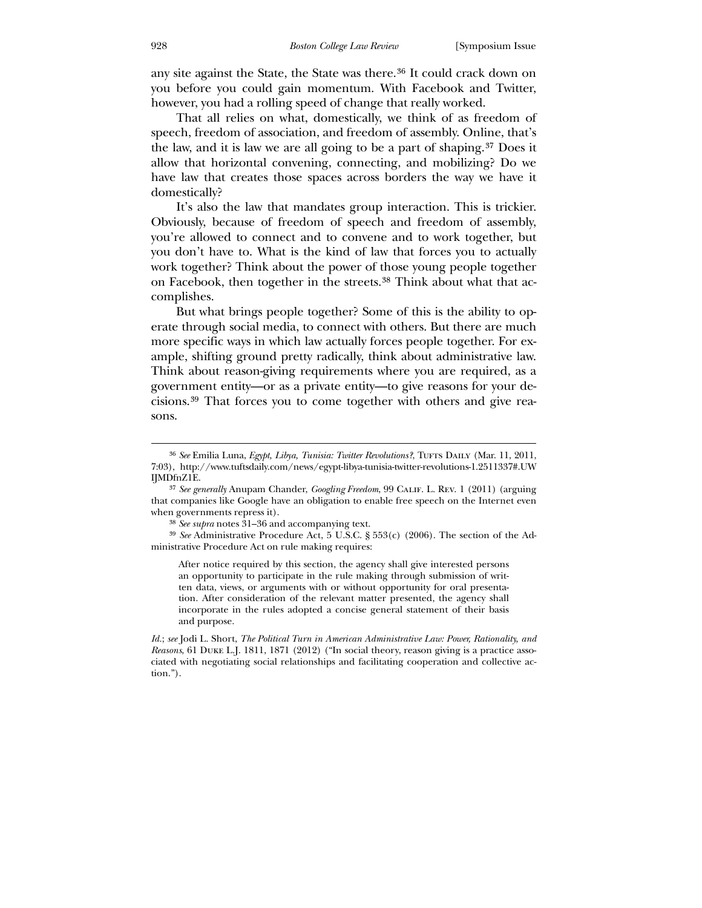any site against the State, the State was there.[36](#page-10-0) It could crack down on you before you could gain momentum. With Facebook and Twitter, however, you had a rolling speed of change that really worked.

 That all relies on what, domestically, we think of as freedom of speech, freedom of association, and freedom of assembly. Online, that's the law, and it is law we are all going to be a part of shaping.[37](#page-10-1) Does it allow that horizontal convening, connecting, and mobilizing? Do we have law that creates those spaces across borders the way we have it domestically?

 It's also the law that mandates group interaction. This is trickier. Obviously, because of freedom of speech and freedom of assembly, you're allowed to connect and to convene and to work together, but you don't have to. What is the kind of law that forces you to actually work together? Think about the power of those young people together on Facebook, then together in the streets.[38](#page-10-2) Think about what that accomplishes.

But what brings people together? Some of this is the ability to operate through social media, to connect with others. But there are much more specific ways in which law actually forces people together. For example, shifting ground pretty radically, think about administrative law. Think about reason-giving requirements where you are required, as a government entity—or as a private entity—to give reasons for your decisions.[39](#page-10-3) That forces you to come together with others and give reasons.

After notice required by this section, the agency shall give interested persons an opportunity to participate in the rule making through submission of written data, views, or arguments with or without opportunity for oral presentation. After consideration of the relevant matter presented, the agency shall incorporate in the rules adopted a concise general statement of their basis and purpose.

<sup>&</sup>lt;sup>36</sup> See Emilia Luna, *Egypt, Libya, Tunisia: Twitter Revolutions?*, TUFTS DAILY (Mar. 11, 2011, 7:03), http://www.tuftsdaily.com/news/egypt-libya-tunisia-twitter-revolutions-1.2511337#.UW IJMDfnZ1E.

<sup>37</sup> *See generally* Anupam Chander, *Googling Freedom*, 99 Calif. L. Rev. 1 (2011) (arguing that companies like Google have an obligation to enable free speech on the Internet even when governments repress it).

<sup>38</sup> *See supra* notes 31–36 and accompanying text.

<sup>39</sup> *See* Administrative Procedure Act, 5 U.S.C. § 553(c) (2006). The section of the Administrative Procedure Act on rule making requires:

<span id="page-10-3"></span><span id="page-10-2"></span><span id="page-10-1"></span><span id="page-10-0"></span>*Id.*; *see* Jodi L. Short, *The Political Turn in American Administrative Law: Power, Rationality, and Reasons*, 61 Duke L.J. 1811, 1871 (2012) ("In social theory, reason giving is a practice associated with negotiating social relationships and facilitating cooperation and collective action.").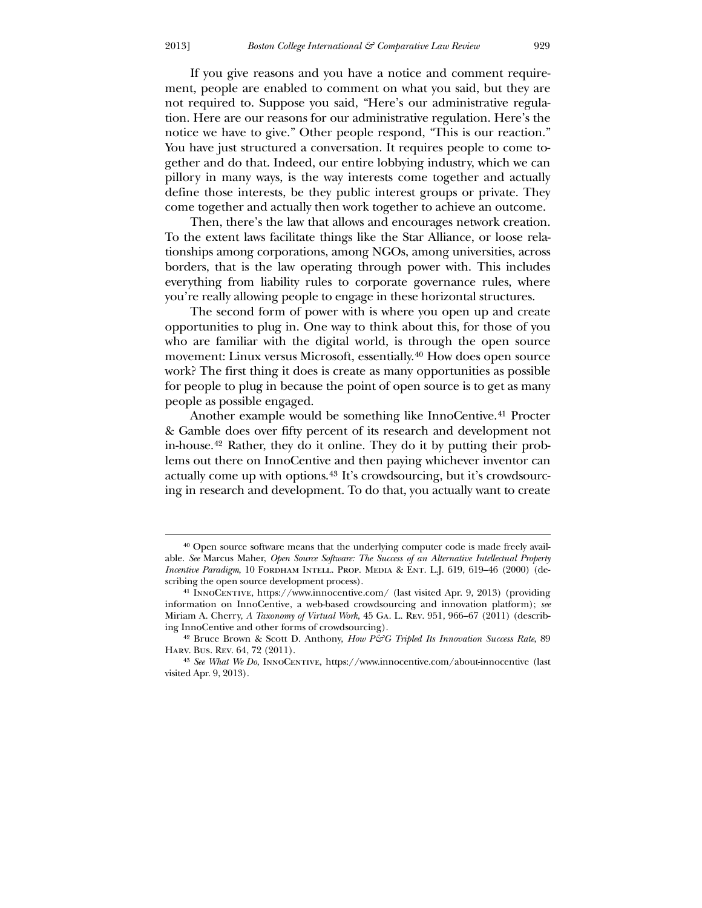If you give reasons and you have a notice and comment requirement, people are enabled to comment on what you said, but they are not required to. Suppose you said, "Here's our administrative regulation. Here are our reasons for our administrative regulation. Here's the notice we have to give." Other people respond, "This is our reaction." You have just structured a conversation. It requires people to come together and do that. Indeed, our entire lobbying industry, which we can pillory in many ways, is the way interests come together and actually define those interests, be they public interest groups or private. They come together and actually then work together to achieve an outcome.

 Then, there's the law that allows and encourages network creation. To the extent laws facilitate things like the Star Alliance, or loose relationships among corporations, among NGOs, among universities, across borders, that is the law operating through power with. This includes everything from liability rules to corporate governance rules, where you're really allowing people to engage in these horizontal structures.

 The second form of power with is where you open up and create opportunities to plug in. One way to think about this, for those of you who are familiar with the digital world, is through the open source movement: Linux versus Microsoft, essentially.[40](#page-11-0) How does open source work? The first thing it does is create as many opportunities as possible for people to plug in because the point of open source is to get as many people as possible engaged.

 Another example would be something like InnoCentive.[41](#page-11-1) Procter & Gamble does over fifty percent of its research and development not in-house.[42](#page-11-2) Rather, they do it online. They do it by putting their problems out there on InnoCentive and then paying whichever inventor can actually come up with options.[43](#page-11-3) It's crowdsourcing, but it's crowdsourcing in research and development. To do that, you actually want to create

<u>.</u>

<sup>40</sup> Open source software means that the underlying computer code is made freely available. *See* Marcus Maher, *Open Source Software: The Success of an Alternative Intellectual Property Incentive Paradigm*, 10 FORDHAM INTELL. PROP. MEDIA & ENT. L.J. 619, 619–46 (2000) (describing the open source development process).

<sup>41</sup> InnoCentive, https://www.innocentive.com/ (last visited Apr. 9, 2013) (providing information on InnoCentive, a web-based crowdsourcing and innovation platform); *see* Miriam A. Cherry, *A Taxonomy of Virtual Work*, 45 Ga. L. Rev. 951, 966–67 (2011) (describing InnoCentive and other forms of crowdsourcing).

<sup>&</sup>lt;sup>42</sup> Bruce Brown & Scott D. Anthony, *How P&G Tripled Its Innovation Success Rate*, 89 Harv. Bus. Rev. 64, 72 (2011).

<span id="page-11-3"></span><span id="page-11-2"></span><span id="page-11-1"></span><span id="page-11-0"></span><sup>43</sup> *See What We Do*, InnoCentive, https://www.innocentive.com/about-innocentive (last visited Apr. 9, 2013).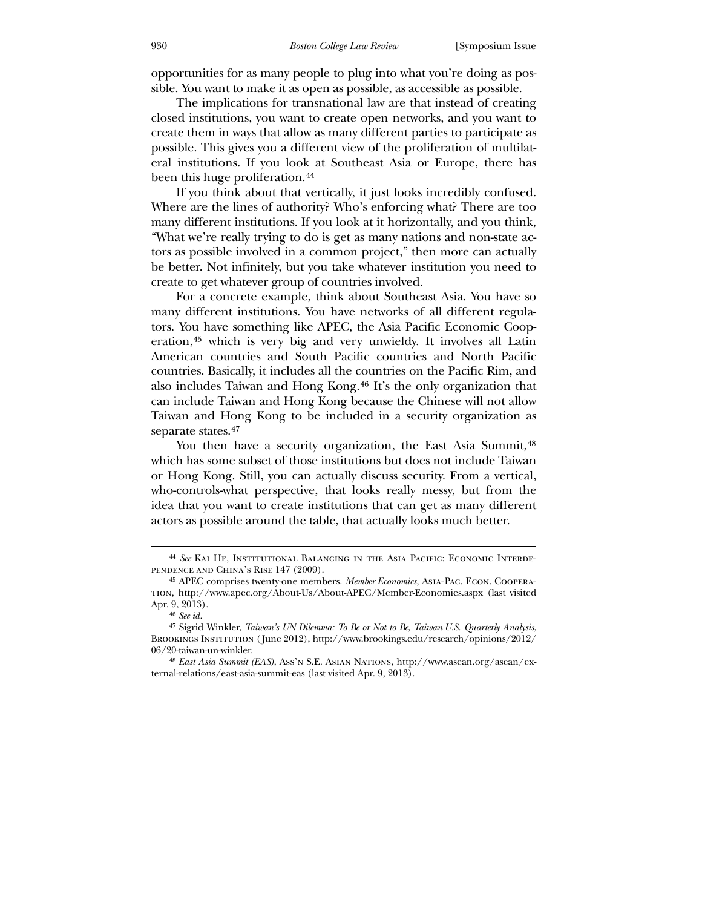opportunities for as many people to plug into what you're doing as possible. You want to make it as open as possible, as accessible as possible.

 The implications for transnational law are that instead of creating closed institutions, you want to create open networks, and you want to create them in ways that allow as many different parties to participate as possible. This gives you a different view of the proliferation of multilateral institutions. If you look at Southeast Asia or Europe, there has been this huge proliferation.<sup>[44](#page-12-0)</sup>

 If you think about that vertically, it just looks incredibly confused. Where are the lines of authority? Who's enforcing what? There are too many different institutions. If you look at it horizontally, and you think, "What we're really trying to do is get as many nations and non-state actors as possible involved in a common project," then more can actually be better. Not infinitely, but you take whatever institution you need to create to get whatever group of countries involved.

 For a concrete example, think about Southeast Asia. You have so many different institutions. You have networks of all different regulators. You have something like APEC, the Asia Pacific Economic Cooperation,[45](#page-12-1) which is very big and very unwieldy. It involves all Latin American countries and South Pacific countries and North Pacific countries. Basically, it includes all the countries on the Pacific Rim, and also includes Taiwan and Hong Kong.[46](#page-12-2) It's the only organization that can include Taiwan and Hong Kong because the Chinese will not allow Taiwan and Hong Kong to be included in a security organization as separate states.<sup>[47](#page-12-3)</sup>

You then have a security organization, the East Asia Summit,  $48$ which has some subset of those institutions but does not include Taiwan or Hong Kong. Still, you can actually discuss security. From a vertical, who-controls-what perspective, that looks really messy, but from the idea that you want to create institutions that can get as many different actors as possible around the table, that actually looks much better.

<sup>44</sup> *See* Kai He, Institutional Balancing in the Asia Pacific: Economic Interdependence and China's Rise 147 (2009).

<sup>45</sup> APEC comprises twenty-one members. *Member Economies*, Asia-Pac. Econ. Cooperation, http://www.apec.org/About-Us/About-APEC/Member-Economies.aspx (last visited Apr. 9, 2013).

<sup>46</sup> *See id.*

<sup>47</sup> Sigrid Winkler, *Taiwan's UN Dilemma: To Be or Not to Be*, *Taiwan-U.S. Quarterly Analysis*, BROOKINGS INSTITUTION (June 2012), http://www.brookings.edu/research/opinions/2012/ 06/20-taiwan-un-winkler.

<span id="page-12-4"></span><span id="page-12-3"></span><span id="page-12-2"></span><span id="page-12-1"></span><span id="page-12-0"></span><sup>48</sup> *East Asia Summit (EAS)*, Ass'n S.E. Asian Nations, http://www.asean.org/asean/external-relations/east-asia-summit-eas (last visited Apr. 9, 2013).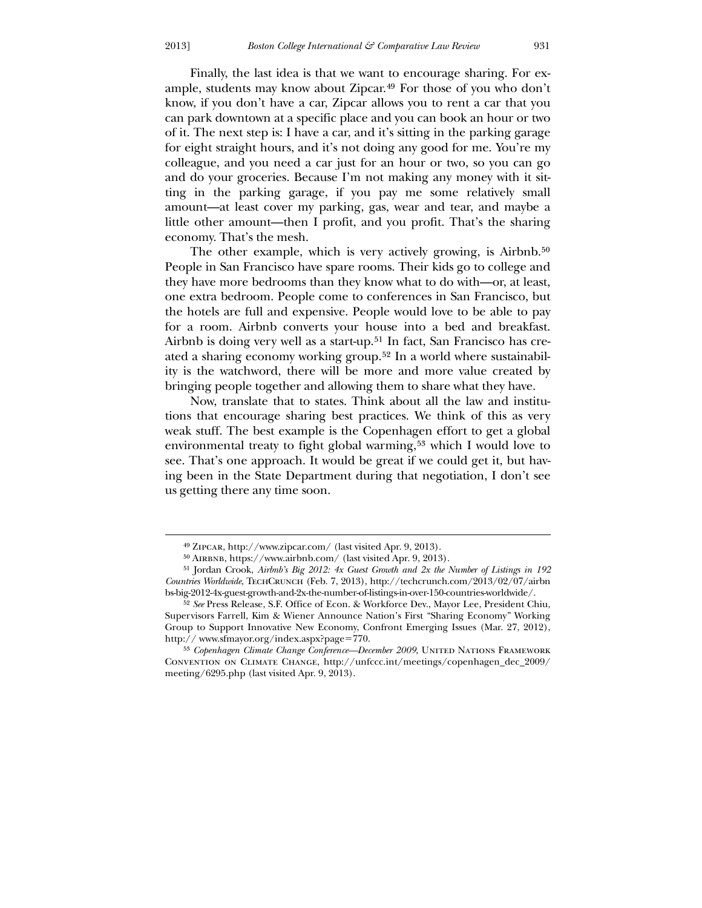Finally, the last idea is that we want to encourage sharing. For example, students may know about Zipcar.[49](#page-13-0) For those of you who don't know, if you don't have a car, Zipcar allows you to rent a car that you can park downtown at a specific place and you can book an hour or two of it. The next step is: I have a car, and it's sitting in the parking garage for eight straight hours, and it's not doing any good for me. You're my colleague, and you need a car just for an hour or two, so you can go and do your groceries. Because I'm not making any money with it sitting in the parking garage, if you pay me some relatively small amount—at least cover my parking, gas, wear and tear, and maybe a little other amount—then I profit, and you profit. That's the sharing economy. That's the mesh.

The other example, which is very actively growing, is Airbnb.<sup>[50](#page-13-1)</sup> People in San Francisco have spare rooms. Their kids go to college and they have more bedrooms than they know what to do with—or, at least, one extra bedroom. People come to conferences in San Francisco, but the hotels are full and expensive. People would love to be able to pay for a room. Airbnb converts your house into a bed and breakfast. Airbnb is doing very well as a start-up.<sup>[51](#page-13-2)</sup> In fact, San Francisco has created a sharing economy working group.[52](#page-13-3) In a world where sustainability is the watchword, there will be more and more value created by bringing people together and allowing them to share what they have.

 Now, translate that to states. Think about all the law and institutions that encourage sharing best practices. We think of this as very weak stuff. The best example is the Copenhagen effort to get a global environmental treaty to fight global warming,<sup>[53](#page-13-4)</sup> which I would love to see. That's one approach. It would be great if we could get it, but having been in the State Department during that negotiation, I don't see us getting there any time soon.

<u>.</u>

<sup>49</sup> Zipcar, http://www.zipcar.com/ (last visited Apr. 9, 2013).

<sup>50</sup> Airbnb, https://www.airbnb.com/ (last visited Apr. 9, 2013).

<sup>51</sup> Jordan Crook, *Airbnb's Big 2012: 4x Guest Growth and 2x the Number of Listings in 192 Countries Worldwide*, TechCrunch (Feb. 7, 2013), http://techcrunch.com/2013/02/07/airbn bs-big-2012-4x-guest-growth-and-2x-the-number-of-listings-in-over-150-countries-worldwide/.

<sup>52</sup> *See* Press Release, S.F. Office of Econ. & Workforce Dev., Mayor Lee, President Chiu, Supervisors Farrell, Kim & Wiener Announce Nation's First "Sharing Economy" Working Group to Support Innovative New Economy, Confront Emerging Issues (Mar. 27, 2012), http:// www.sfmayor.org/index.aspx?page=770.

<span id="page-13-4"></span><span id="page-13-3"></span><span id="page-13-2"></span><span id="page-13-1"></span><span id="page-13-0"></span><sup>&</sup>lt;sup>53</sup> Copenhagen Climate Change Conference-December 2009, UNITED NATIONS FRAMEWORK Convention on Climate Change, http://unfccc.int/meetings/copenhagen\_dec\_2009/ meeting/6295.php (last visited Apr. 9, 2013).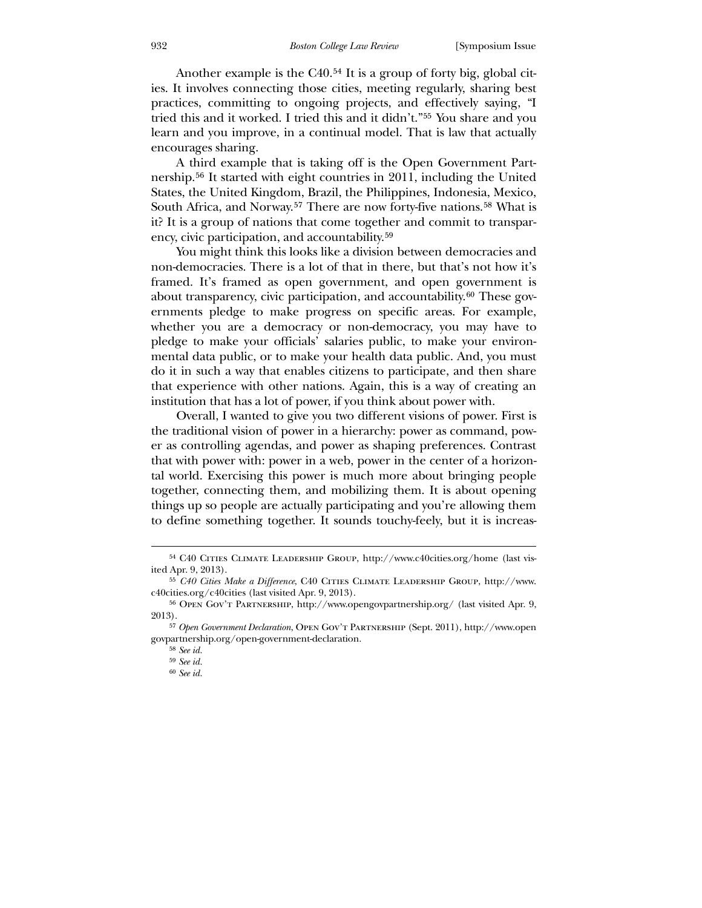Another example is the C40.<sup>[54](#page-14-0)</sup> It is a group of forty big, global cities. It involves connecting those cities, meeting regularly, sharing best practices, committing to ongoing projects, and effectively saying, "I tried this and it worked. I tried this and it didn't."[55](#page-14-1) You share and you learn and you improve, in a continual model. That is law that actually encourages sharing.

 A third example that is taking off is the Open Government Partnership.[56](#page-14-2) It started with eight countries in 2011, including the United States, the United Kingdom, Brazil, the Philippines, Indonesia, Mexico, South Africa, and Norway.<sup>[57](#page-14-3)</sup> There are now forty-five nations.<sup>[58](#page-14-4)</sup> What is it? It is a group of nations that come together and commit to transparency, civic participation, and accountability.[59](#page-14-5)

 You might think this looks like a division between democracies and non-democracies. There is a lot of that in there, but that's not how it's framed. It's framed as open government, and open government is about transparency, civic participation, and accountability.[60](#page-14-6) These governments pledge to make progress on specific areas. For example, whether you are a democracy or non-democracy, you may have to pledge to make your officials' salaries public, to make your environmental data public, or to make your health data public. And, you must do it in such a way that enables citizens to participate, and then share that experience with other nations. Again, this is a way of creating an institution that has a lot of power, if you think about power with.

 Overall, I wanted to give you two different visions of power. First is the traditional vision of power in a hierarchy: power as command, power as controlling agendas, and power as shaping preferences. Contrast that with power with: power in a web, power in the center of a horizontal world. Exercising this power is much more about bringing people together, connecting them, and mobilizing them. It is about opening things up so people are actually participating and you're allowing them to define something together. It sounds touchy-feely, but it is increas-

<sup>54</sup> C40 Cities Climate Leadership Group, http://www.c40cities.org/home (last visited Apr. 9, 2013).

<sup>55</sup> *C40 Cities Make a Difference*, C40 Cities Climate Leadership Group, http://www. c40cities.org/c40cities (last visited Apr. 9, 2013).

<sup>56</sup> Open Gov't Partnership, http://www.opengovpartnership.org/ (last visited Apr. 9, 2013).

<sup>57</sup> *Open Government Declaration*, Open Gov't Partnership (Sept. 2011), http://www.open govpartnership.org/open-government-declaration.

<sup>58</sup> *See id.*

<sup>59</sup> *See id.*

<span id="page-14-6"></span><span id="page-14-5"></span><span id="page-14-4"></span><span id="page-14-3"></span><span id="page-14-2"></span><span id="page-14-1"></span><span id="page-14-0"></span><sup>60</sup> *See id.*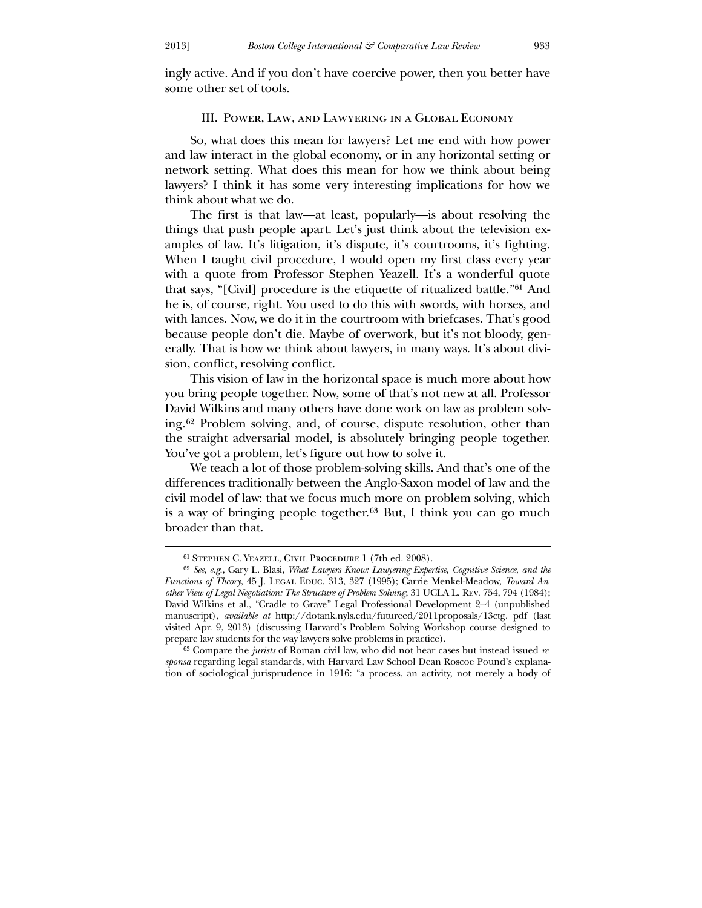ingly active. And if you don't have coercive power, then you better have some other set of tools.

## III. Power, Law, and Lawyering in a Global Economy

 So, what does this mean for lawyers? Let me end with how power and law interact in the global economy, or in any horizontal setting or network setting. What does this mean for how we think about being lawyers? I think it has some very interesting implications for how we think about what we do.

 The first is that law—at least, popularly—is about resolving the things that push people apart. Let's just think about the television examples of law. It's litigation, it's dispute, it's courtrooms, it's fighting. When I taught civil procedure, I would open my first class every year with a quote from Professor Stephen Yeazell. It's a wonderful quote that says, "[Civil] procedure is the etiquette of ritualized battle."[61](#page-15-0) And he is, of course, right. You used to do this with swords, with horses, and with lances. Now, we do it in the courtroom with briefcases. That's good because people don't die. Maybe of overwork, but it's not bloody, generally. That is how we think about lawyers, in many ways. It's about division, conflict, resolving conflict.

 This vision of law in the horizontal space is much more about how you bring people together. Now, some of that's not new at all. Professor David Wilkins and many others have done work on law as problem solving.[62](#page-15-1) Problem solving, and, of course, dispute resolution, other than the straight adversarial model, is absolutely bringing people together. You've got a problem, let's figure out how to solve it.

 We teach a lot of those problem-solving skills. And that's one of the differences traditionally between the Anglo-Saxon model of law and the civil model of law: that we focus much more on problem solving, which is a way of bringing people together.[63](#page-15-2) But, I think you can go much broader than that.

<sup>61</sup> Stephen C. Yeazell, Civil Procedure 1 (7th ed. 2008).

<sup>62</sup> *See, e.g.*, Gary L. Blasi, *What Lawyers Know: Lawyering Expertise, Cognitive Science, and the Functions of Theory*, 45 J. LEGAL EDUC. 313, 327 (1995); Carrie Menkel-Meadow, *Toward Another View of Legal Negotiation: The Structure of Problem Solving*, 31 UCLA L. Rev. 754, 794 (1984); David Wilkins et al., "Cradle to Grave" Legal Professional Development 2–4 (unpublished manuscript), *available at* http://dotank.nyls.edu/futureed/2011proposals/13ctg. pdf (last visited Apr. 9, 2013) (discussing Harvard's Problem Solving Workshop course designed to prepare law students for the way lawyers solve problems in practice).

<span id="page-15-2"></span><span id="page-15-1"></span><span id="page-15-0"></span><sup>63</sup> Compare the *jurists* of Roman civil law, who did not hear cases but instead issued *responsa* regarding legal standards, with Harvard Law School Dean Roscoe Pound's explanation of sociological jurisprudence in 1916: "a process, an activity, not merely a body of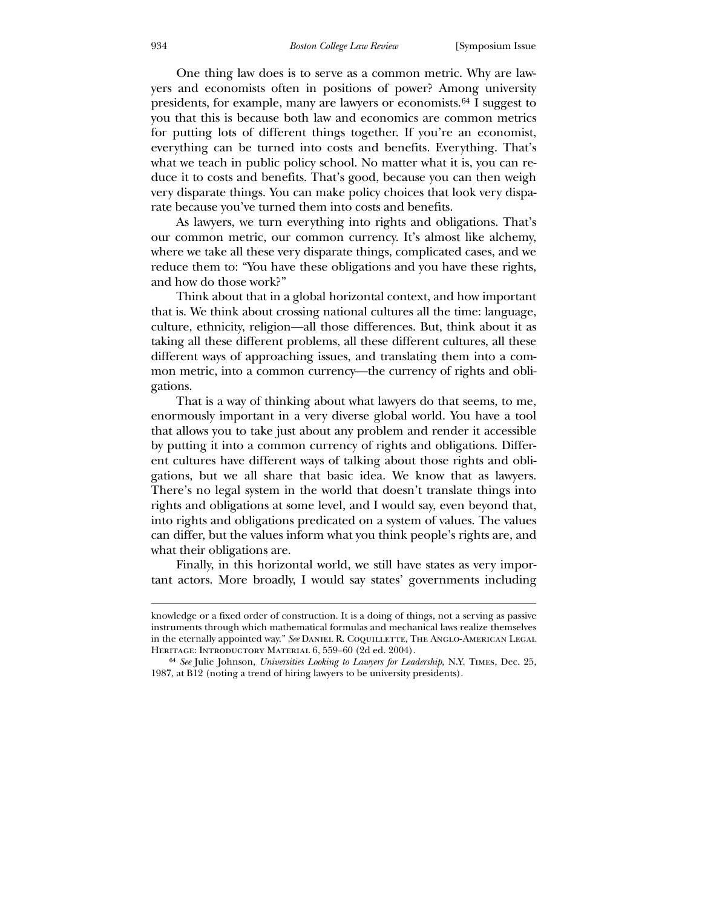One thing law does is to serve as a common metric. Why are lawyers and economists often in positions of power? Among university presidents, for example, many are lawyers or economists.[64](#page-16-0) I suggest to you that this is because both law and economics are common metrics for putting lots of different things together. If you're an economist, everything can be turned into costs and benefits. Everything. That's what we teach in public policy school. No matter what it is, you can reduce it to costs and benefits. That's good, because you can then weigh very disparate things. You can make policy choices that look very disparate because you've turned them into costs and benefits.

 As lawyers, we turn everything into rights and obligations. That's our common metric, our common currency. It's almost like alchemy, where we take all these very disparate things, complicated cases, and we reduce them to: "You have these obligations and you have these rights, and how do those work?"

 Think about that in a global horizontal context, and how important that is. We think about crossing national cultures all the time: language, culture, ethnicity, religion—all those differences. But, think about it as taking all these different problems, all these different cultures, all these different ways of approaching issues, and translating them into a common metric, into a common currency—the currency of rights and obligations.

 That is a way of thinking about what lawyers do that seems, to me, enormously important in a very diverse global world. You have a tool that allows you to take just about any problem and render it accessible by putting it into a common currency of rights and obligations. Different cultures have different ways of talking about those rights and obligations, but we all share that basic idea. We know that as lawyers. There's no legal system in the world that doesn't translate things into rights and obligations at some level, and I would say, even beyond that, into rights and obligations predicated on a system of values. The values can differ, but the values inform what you think people's rights are, and what their obligations are.

 Finally, in this horizontal world, we still have states as very important actors. More broadly, I would say states' governments including

knowledge or a fixed order of construction. It is a doing of things, not a serving as passive instruments through which mathematical formulas and mechanical laws realize themselves in the eternally appointed way." See DANIEL R. COQUILLETTE, THE ANGLO-AMERICAN LEGAL HERITAGE: INTRODUCTORY MATERIAL 6, 559-60 (2d ed. 2004).

<span id="page-16-0"></span><sup>64</sup> *See* Julie Johnson, *Universities Looking to Lawyers for Leadership*, N.Y. Times, Dec. 25, 1987, at B12 (noting a trend of hiring lawyers to be university presidents).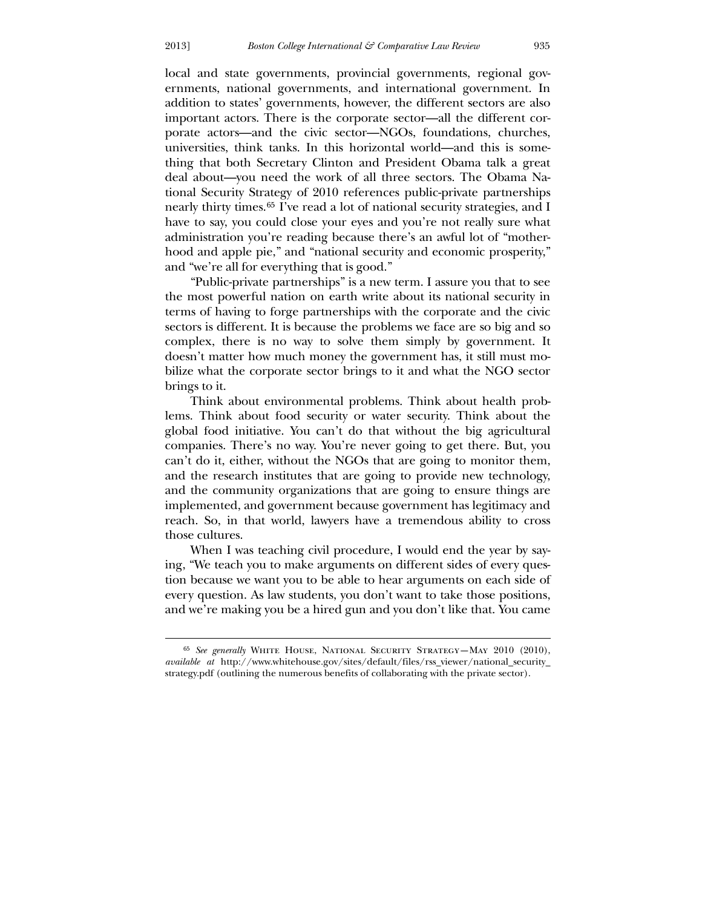$\overline{a}$ 

local and state governments, provincial governments, regional governments, national governments, and international government. In addition to states' governments, however, the different sectors are also important actors. There is the corporate sector—all the different corporate actors—and the civic sector—NGOs, foundations, churches, universities, think tanks. In this horizontal world—and this is something that both Secretary Clinton and President Obama talk a great deal about—you need the work of all three sectors. The Obama National Security Strategy of 2010 references public-private partnerships nearly thirty times.[65](#page-17-0) I've read a lot of national security strategies, and I have to say, you could close your eyes and you're not really sure what administration you're reading because there's an awful lot of "motherhood and apple pie," and "national security and economic prosperity," and "we're all for everything that is good."

 "Public-private partnerships" is a new term. I assure you that to see the most powerful nation on earth write about its national security in terms of having to forge partnerships with the corporate and the civic sectors is different. It is because the problems we face are so big and so complex, there is no way to solve them simply by government. It doesn't matter how much money the government has, it still must mobilize what the corporate sector brings to it and what the NGO sector brings to it.

 Think about environmental problems. Think about health problems. Think about food security or water security. Think about the global food initiative. You can't do that without the big agricultural companies. There's no way. You're never going to get there. But, you can't do it, either, without the NGOs that are going to monitor them, and the research institutes that are going to provide new technology, and the community organizations that are going to ensure things are implemented, and government because government has legitimacy and reach. So, in that world, lawyers have a tremendous ability to cross those cultures.

 When I was teaching civil procedure, I would end the year by saying, "We teach you to make arguments on different sides of every question because we want you to be able to hear arguments on each side of every question. As law students, you don't want to take those positions, and we're making you be a hired gun and you don't like that. You came

<span id="page-17-0"></span><sup>65</sup> *See generally* White House, National Security Strategy—May 2010 (2010), *available at* http://www.whitehouse.gov/sites/default/files/rss\_viewer/national\_security\_ strategy.pdf (outlining the numerous benefits of collaborating with the private sector).